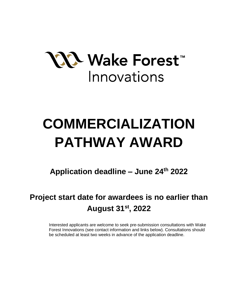

# **COMMERCIALIZATION PATHWAY AWARD**

**Application deadline – June 24th 2022**

# **Project start date for awardees is no earlier than August 31st , 2022**

Interested applicants are welcome to seek pre-submission consultations with Wake Forest Innovations (see contact information and links below). Consultations should be scheduled at least two weeks in advance of the application deadline.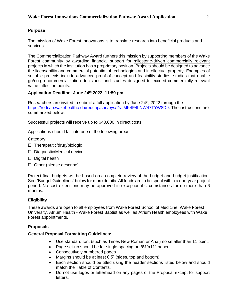# **Purpose**

The mission of Wake Forest Innovations is to translate research into beneficial products and services.

The Commercialization Pathway Award furthers this mission by supporting members of the Wake Forest community by awarding financial support for milestone-driven commercially relevant projects in which the institution has a proprietary position. Projects should be designed to advance the licensability and commercial potential of technologies and intellectual property. Examples of suitable projects include advanced proof-of-concept and feasibility studies, studies that enable go/no-go commercialization decisions, and studies designed to exceed commercially relevant value inflection points.

# **Application Deadline: June 24th 2022, 11:59 pm**

Researchers are invited to submit a full application by June  $24<sup>th</sup>$ , 2022 through the [https://redcap.wakehealth.edu/redcap/surveys/?s=MK4F4LNW47TYW8D9.](https://redcap.wakehealth.edu/redcap/surveys/?s=MK4F4LNW47TYW8D9) The instructions are summarized below.

Successful projects will receive up to \$40,000 in direct costs.

Applications should fall into one of the following areas:

# Category:

- ☐ Therapeutic/drug/biologic
- ☐ Diagnostic/Medical device
- □ Digital health
- ☐ Other (please describe)

Project final budgets will be based on a complete review of the budget and budget justification. See "Budget Guidelines" below for more details. All funds are to be spent within a one-year project period. No-cost extensions may be approved in exceptional circumstances for no more than 6 months.

# **Eligibility**

These awards are open to all employees from Wake Forest School of Medicine, Wake Forest University, Atrium Health - Wake Forest Baptist as well as Atrium Health employees with Wake Forest appointments.

#### **Proposals**

#### **General Proposal Formatting Guidelines:**

- Use standard font (such as Times New Roman or Arial) no smaller than 11 point.
- Page set-up should be for single-spacing on 8½"x11" paper.
- Consecutively numbered pages.
- Margins should be at least 0.5" (sides, top and bottom)
- Each section should be titled using the header sections listed below and should match the Table of Contents.
- Do not use logos or letterhead on any pages of the Proposal except for support letters.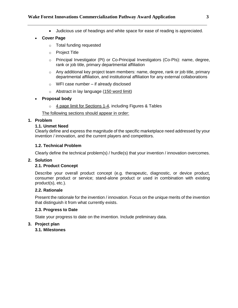Judicious use of headings and white space for ease of reading is appreciated.

# **Cover Page**

- o Total funding requested
- o Project Title
- o Principal Investigator (PI) or Co-Principal Investigators (Co-PIs): name, degree, rank or job title, primary departmental affiliation
- $\circ$  Any additional key project team members: name, degree, rank or job title, primary departmental affiliation, and institutional affiliation for any external collaborations
- o WFI case number if already disclosed
- o Abstract in lay language (150 word limit)

# **Proposal body**

 $\circ$  4 page limit for Sections 1-4, including Figures & Tables

The following sections should appear in order:

# **1. Problem**

# **1.1. Unmet Need**

Clearly define and express the magnitude of the specific marketplace need addressed by your invention / innovation, and the current players and competitors.

# **1.2. Technical Problem**

Clearly define the technical problem(s) / hurdle(s) that your invention / innovation overcomes.

#### **2. Solution**

#### **2.1. Product Concept**

Describe your overall product concept (e.g. therapeutic, diagnostic, or device product, consumer product or service; stand-alone product or used in combination with existing product(s), etc.).

#### **2.2. Rationale**

Present the rationale for the invention / innovation. Focus on the unique merits of the invention that distinguish it from what currently exists.

#### **2.3. Progress to Date**

State your progress to date on the invention. Include preliminary data.

# **3. Project plan**

**3.1. Milestones**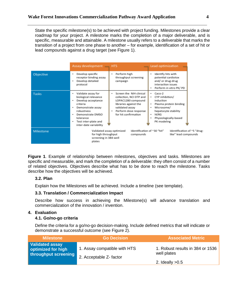State the specific milestone(s) to be achieved with project funding. Milestones provide a clear roadmap for your project. A milestone marks the completion of a major deliverable, and is specific, measurable and attainable. A milestone usually refers to a deliverable that marks the transition of a project from one phase to another – for example, identification of a set of hit or lead compounds against a drug target (see Figure 1).

|           | Assay development - HTS                                                                                                                                                                                           |                                                                                                                                                                                 | Lead optimization                                                                                                                                           |
|-----------|-------------------------------------------------------------------------------------------------------------------------------------------------------------------------------------------------------------------|---------------------------------------------------------------------------------------------------------------------------------------------------------------------------------|-------------------------------------------------------------------------------------------------------------------------------------------------------------|
| Objective | Develop specific<br>receptor binding assay<br>Develop detailed<br>protocol                                                                                                                                        | Perform high<br>٠<br>throughput screening<br>campaign                                                                                                                           | Identify hits with<br>potential cardiotox<br>and/ or drug-drug<br>interaction issues<br>Perform in vitro PK/ PD                                             |
| Tasks     | Validate assay for<br>٠<br>biological relevance<br>Develop acceptance<br>criteria<br>Demonstrate assay<br>٠<br>robustness<br>Demonstrate DMSO<br>tolerance<br>Test inter-plate and<br>٠<br>inter-date variability | Screen the NIH clinical<br>٠<br>collection, NCI DTP and<br>LOPAC1280 compound<br>libraries against the<br>validated assay<br>Perform dose response<br>٠<br>for hit confirmation | Caco-2<br>CYP inhibition/<br>induction<br>Plasma protein binding<br>Microsome/<br>hepatocyte stability<br>hERG<br>٠<br>Physiologically-based<br>PK modeling |
| Milestone | Validated assay optimized<br>for high throughput<br>screening in 384-well<br>plates                                                                                                                               | Identification of ~30 "hit"<br>compounds                                                                                                                                        | Identification of ~5 "drug-<br>like" lead compounds                                                                                                         |

**Figure 1**. Example of relationship between milestones, objectives and tasks. Milestones are specific and measurable, and mark the completion of a deliverable: they often consist of a number of related objectives. Objectives describe what has to be done to reach the milestone. Tasks describe how the objectives will be achieved.

# **3.2. Plan**

Explain how the Milestones will be achieved. Include a timeline (see template).

#### **3.3. Translation / Commercialization Impact**

Describe how success in achieving the Milestone(s) will advance translation and commercialization of the innovation / invention.

#### **4. Evaluation**

#### **4.1. Go/no-go criteria**

Define the criteria for a go/no-go decision-making. Include defined metrics that will indicate or demonstrate a successful outcome (see Figure 2).

| <b>Milestone</b>                                                     | <b>Go Decision</b>                                     | <b>Associated Metric</b>                        |
|----------------------------------------------------------------------|--------------------------------------------------------|-------------------------------------------------|
| <b>Validated assay</b><br>optimized for high<br>throughput screening | 1. Assay compatible with HTS<br>2. Acceptable Z-factor | 1. Robust results in 384 or 1536<br>well plates |
|                                                                      |                                                        | 2. Ideally $>0.5$                               |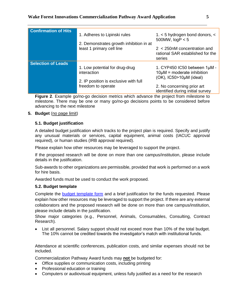| <b>Confirmation of Hits</b> | 1. Adheres to Lipinski rules<br>2. Demonstrates growth inhibition in at<br>least 1 primary cell line         | 1. $<$ 5 hydrogen bond donors, $<$<br>500MW, $logP < 5$<br>$2 < 250$ nM concentration and<br>rational SAR established for the<br>series                               |
|-----------------------------|--------------------------------------------------------------------------------------------------------------|-----------------------------------------------------------------------------------------------------------------------------------------------------------------------|
| <b>Selection of Leads</b>   | 1. Low potential for drug-drug<br>interaction<br>2. IP position is exclusive with full<br>freedom to operate | 1. CYP450 IC50 between 1µM -<br>$10\mu$ M = moderate inhibition<br>$(OK)$ , IC50>10 $\mu$ M (ideal)<br>2. No concerning prior art<br>identified during initial survey |

**Figure 2**. Example go/no-go decision metrics which advance the project from milestone to milestone. There may be one or many go/no-go decisions points to be considered before advancing to the next milestone

# **5. Budget** (no page limit)

# **5.1. Budget justification**

A detailed budget justification which tracks to the project plan is required. Specify and justify any unusual materials or services, capital equipment, animal costs (IACUC approval required), or human studies (IRB approval required).

Please explain how other resources may be leveraged to support the project.

If the proposed research will be done on more than one campus/institution, please include details in the justification.

Sub-awards to other organizations are permissible, provided that work is performed on a work for hire basis.

Awarded funds must be used to conduct the work proposed.

# **5.2. Budget template**

Complete the [budget template form](https://wakehealth.sharepoint.com/:x:/r/teams/CTSIWebCollection/_layouts/15/Doc.aspx?sourcedoc=%7B4A4C9F1E-84B3-4657-AE7F-B5174BF93883%7D&file=CTSI%20Pilot%20Budget%20Template.xlsx&action=default&mobileredirect=true&DefaultItemOpen=1&cid=15a4a8bb-2521-40fd-9c8b-f7d9984b5335) and a brief justification for the funds requested. Please explain how other resources may be leveraged to support the project. If there are any external collaborators and the proposed research will be done on more than one campus/institution, please include details in the justification.

Show major categories (e.g., Personnel, Animals, Consumables, Consulting, Contract Research).

 List all personnel. Salary support should not exceed more than 10% of the total budget. The 10% cannot be credited towards the investigator's match with institutional funds.

Attendance at scientific conferences, publication costs, and similar expenses should not be included.

Commercialization Pathway Award funds may **not** be budgeted for:

- Office supplies or communication costs, including printing
- Professional education or training
- Computers or audiovisual equipment, unless fully justified as a need for the research